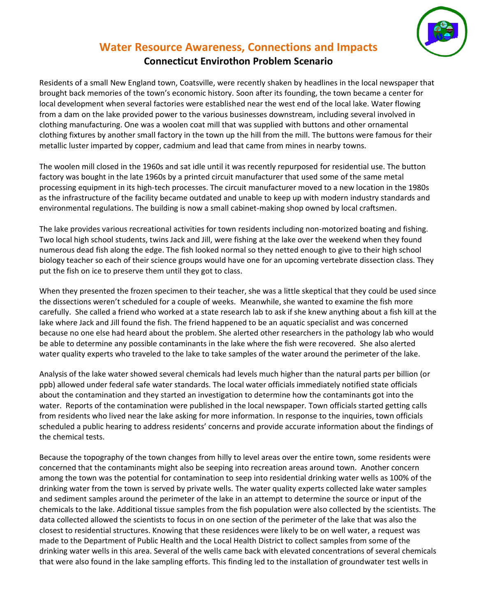

## **Water Resource Awareness, Connections and Impacts Connecticut Envirothon Problem Scenario**

Residents of a small New England town, Coatsville, were recently shaken by headlines in the local newspaper that brought back memories of the town's economic history. Soon after its founding, the town became a center for local development when several factories were established near the west end of the local lake. Water flowing from a dam on the lake provided power to the various businesses downstream, including several involved in clothing manufacturing. One was a woolen coat mill that was supplied with buttons and other ornamental clothing fixtures by another small factory in the town up the hill from the mill. The buttons were famous for their metallic luster imparted by copper, cadmium and lead that came from mines in nearby towns.

The woolen mill closed in the 1960s and sat idle until it was recently repurposed for residential use. The button factory was bought in the late 1960s by a printed circuit manufacturer that used some of the same metal processing equipment in its high-tech processes. The circuit manufacturer moved to a new location in the 1980s as the infrastructure of the facility became outdated and unable to keep up with modern industry standards and environmental regulations. The building is now a small cabinet-making shop owned by local craftsmen.

The lake provides various recreational activities for town residents including non-motorized boating and fishing. Two local high school students, twins Jack and Jill, were fishing at the lake over the weekend when they found numerous dead fish along the edge. The fish looked normal so they netted enough to give to their high school biology teacher so each of their science groups would have one for an upcoming vertebrate dissection class. They put the fish on ice to preserve them until they got to class.

When they presented the frozen specimen to their teacher, she was a little skeptical that they could be used since the dissections weren't scheduled for a couple of weeks. Meanwhile, she wanted to examine the fish more carefully. She called a friend who worked at a state research lab to ask if she knew anything about a fish kill at the lake where Jack and Jill found the fish. The friend happened to be an aquatic specialist and was concerned because no one else had heard about the problem. She alerted other researchers in the pathology lab who would be able to determine any possible contaminants in the lake where the fish were recovered. She also alerted water quality experts who traveled to the lake to take samples of the water around the perimeter of the lake.

Analysis of the lake water showed several chemicals had levels much higher than the natural parts per billion (or ppb) allowed under federal safe water standards. The local water officials immediately notified state officials about the contamination and they started an investigation to determine how the contaminants got into the water. Reports of the contamination were published in the local newspaper. Town officials started getting calls from residents who lived near the lake asking for more information. In response to the inquiries, town officials scheduled a public hearing to address residents' concerns and provide accurate information about the findings of the chemical tests.

Because the topography of the town changes from hilly to level areas over the entire town, some residents were concerned that the contaminants might also be seeping into recreation areas around town. Another concern among the town was the potential for contamination to seep into residential drinking water wells as 100% of the drinking water from the town is served by private wells. The water quality experts collected lake water samples and sediment samples around the perimeter of the lake in an attempt to determine the source or input of the chemicals to the lake. Additional tissue samples from the fish population were also collected by the scientists. The data collected allowed the scientists to focus in on one section of the perimeter of the lake that was also the closest to residential structures. Knowing that these residences were likely to be on well water, a request was made to the Department of Public Health and the Local Health District to collect samples from some of the drinking water wells in this area. Several of the wells came back with elevated concentrations of several chemicals that were also found in the lake sampling efforts. This finding led to the installation of groundwater test wells in